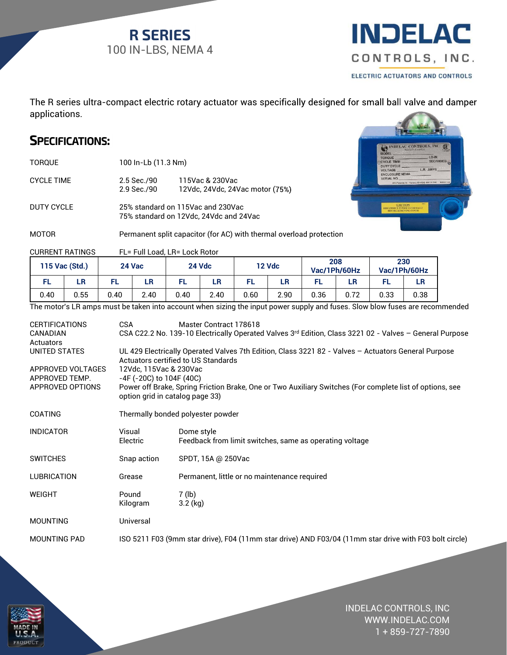**R SERIES** 100 IN-LBS, NEMA 4



The R series ultra-compact electric rotary actuator was specifically designed for small ball valve and damper applications. compact electric rotary actuator was specifically designed<br>
:<br>
:<br>
:<br>
:<br>
:<br>
:<br>
:<br>
2.5 Sec./90 115Vac & 230Vac<br>
2.9 Sec./90 12Vdc, 24Vdc, 24Vac motor (75%)<br>
25% standard on 115Vac and 230Vac<br>
75% standard on 12Vd

TORQUE 100 In-Lb (11.3 Nm)

CYCLE TIME 2.5 Sec./90 115Vac & 230Vac 2.9 Sec./90 12Vdc, 24Vdc, 24Vac motor (75%)

DUTY CYCLE 25% standard on 115Vac and 230Vac 75% standard on 12Vdc, 24Vdc and 24Vac



MOTOR **Permanent split capacitor (for AC) with thermal overload protection** 

CURRENT RATINGS FL= Full Load, LR= Lock Rotor

| 115 Vac (Std.) |      | 24 Vac |      | <b>24 Vdc</b> |      | <b>12 Vdc</b> |      | 208<br>Vac/1Ph/60Hz |      | 230<br>Vac/1Ph/60Hz |      |
|----------------|------|--------|------|---------------|------|---------------|------|---------------------|------|---------------------|------|
| FL             | LR   |        | LR   |               | LR   |               | LR   |                     | LR   |                     | LR   |
| 0.40           | 0.55 | 0.40   | 2.40 | 0.40          | 2.40 | 0.60          | 2.90 | 0.36                | 0.72 | 0.33                | 0.38 |

The motor's LR amps must be taken into account when sizing the input power supply and fuses. Slow blow fuses are recommended

| <b>CERTIFICATIONS</b><br>CANADIAN                       | <b>CSA</b><br>Master Contract 178618<br>CSA C22.2 No. 139-10 Electrically Operated Valves 3rd Edition, Class 3221 02 - Valves - General Purpose                |                                                                       |  |  |  |  |  |
|---------------------------------------------------------|----------------------------------------------------------------------------------------------------------------------------------------------------------------|-----------------------------------------------------------------------|--|--|--|--|--|
| Actuators<br>UNITED STATES                              | UL 429 Electrically Operated Valves 7th Edition, Class 3221 82 - Valves - Actuators General Purpose<br>Actuators certified to US Standards                     |                                                                       |  |  |  |  |  |
| APPROVED VOLTAGES<br>APPROVED TEMP.<br>APPROVED OPTIONS | 12Vdc, 115Vac & 230Vac<br>-4F (-20C) to 104F (40C)<br>Power off Brake, Spring Friction Brake, One or Two Auxiliary Switches (For complete list of options, see |                                                                       |  |  |  |  |  |
| option grid in catalog page 33)                         |                                                                                                                                                                |                                                                       |  |  |  |  |  |
| <b>COATING</b>                                          |                                                                                                                                                                | Thermally bonded polyester powder                                     |  |  |  |  |  |
| <b>INDICATOR</b>                                        | Visual<br>Electric                                                                                                                                             | Dome style<br>Feedback from limit switches, same as operating voltage |  |  |  |  |  |
| <b>SWITCHES</b>                                         | Snap action                                                                                                                                                    | SPDT, 15A @ 250Vac                                                    |  |  |  |  |  |
| <b>LUBRICATION</b>                                      | Grease                                                                                                                                                         | Permanent, little or no maintenance required                          |  |  |  |  |  |
| <b>WEIGHT</b>                                           | Pound<br>Kilogram                                                                                                                                              | $7$ (lb)<br>$3.2$ (kg)                                                |  |  |  |  |  |
| <b>MOUNTING</b>                                         | Universal                                                                                                                                                      |                                                                       |  |  |  |  |  |
| <b>MOUNTING PAD</b>                                     | ISO 5211 F03 (9mm star drive), F04 (11mm star drive) AND F03/04 (11mm star drive with F03 bolt circle)                                                         |                                                                       |  |  |  |  |  |



INDELAC CONTROLS, INC WWW.INDELAC.COM 1 + 859-727-7890